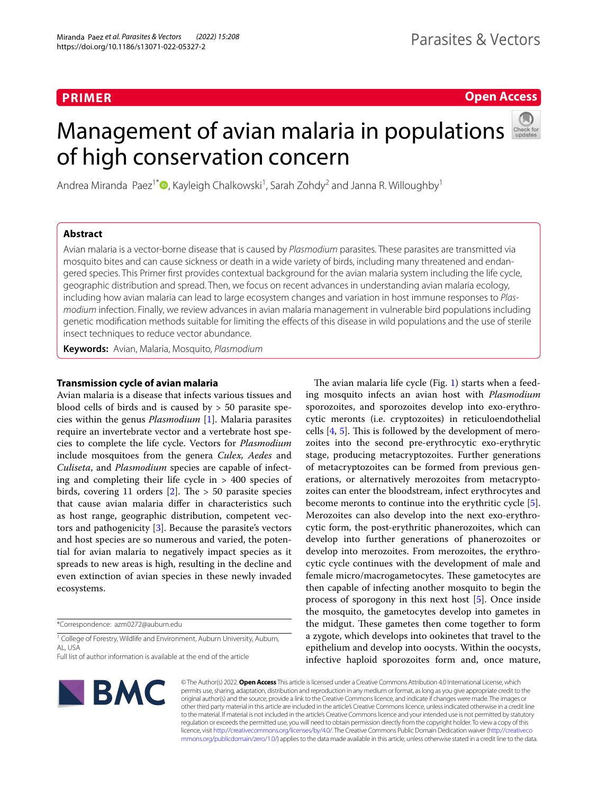# **PRIMER**

# **Open Access**

# Management of avian malaria in populations of high conservation concern



Andrea Miranda Paez<sup>1[\\*](http://orcid.org/0000-0003-2288-0267)</sup><sup>®</sup>, Kayleigh Chalkowski<sup>1</sup>, Sarah Zohdy<sup>2</sup> and Janna R. Willoughby<sup>1</sup>

# **Abstract**

Avian malaria is a vector-borne disease that is caused by *Plasmodium* parasites. These parasites are transmitted via mosquito bites and can cause sickness or death in a wide variety of birds, including many threatened and endangered species. This Primer frst provides contextual background for the avian malaria system including the life cycle, geographic distribution and spread. Then, we focus on recent advances in understanding avian malaria ecology, including how avian malaria can lead to large ecosystem changes and variation in host immune responses to *Plasmodium* infection. Finally, we review advances in avian malaria management in vulnerable bird populations including genetic modifcation methods suitable for limiting the efects of this disease in wild populations and the use of sterile insect techniques to reduce vector abundance.

**Keywords:** Avian, Malaria, Mosquito, *Plasmodium*

# **Transmission cycle of avian malaria**

Avian malaria is a disease that infects various tissues and blood cells of birds and is caused by  $> 50$  parasite species within the genus *Plasmodium* [\[1\]](#page-5-0). Malaria parasites require an invertebrate vector and a vertebrate host species to complete the life cycle. Vectors for *Plasmodium* include mosquitoes from the genera *Culex, Aedes* and *Culiseta*, and *Plasmodium* species are capable of infecting and completing their life cycle in > 400 species of birds, covering 11 orders  $[2]$  $[2]$ . The > 50 parasite species that cause avian malaria difer in characteristics such as host range, geographic distribution, competent vectors and pathogenicity [\[3](#page-5-2)]. Because the parasite's vectors and host species are so numerous and varied, the potential for avian malaria to negatively impact species as it spreads to new areas is high, resulting in the decline and even extinction of avian species in these newly invaded ecosystems.

\*Correspondence: azm0272@auburn.edu

<sup>1</sup> College of Forestry, Wildlife and Environment, Auburn University, Auburn, AL, USA

Full list of author information is available at the end of the article



The avian malaria life cycle (Fig. [1\)](#page-1-0) starts when a feeding mosquito infects an avian host with *Plasmodium* sporozoites, and sporozoites develop into exo-erythrocytic meronts (i.e. cryptozoites) in reticuloendothelial cells  $[4, 5]$  $[4, 5]$  $[4, 5]$  $[4, 5]$ . This is followed by the development of merozoites into the second pre-erythrocytic exo-erythrytic stage, producing metacryptozoites. Further generations of metacryptozoites can be formed from previous generations, or alternatively merozoites from metacryptozoites can enter the bloodstream, infect erythrocytes and become meronts to continue into the erythritic cycle [\[5](#page-5-4)]. Merozoites can also develop into the next exo-erythrocytic form, the post-erythritic phanerozoites, which can develop into further generations of phanerozoites or develop into merozoites. From merozoites, the erythrocytic cycle continues with the development of male and female micro/macrogametocytes. These gametocytes are then capable of infecting another mosquito to begin the process of sporogony in this next host [[5](#page-5-4)]. Once inside the mosquito, the gametocytes develop into gametes in the midgut. These gametes then come together to form a zygote, which develops into ookinetes that travel to the epithelium and develop into oocysts. Within the oocysts, infective haploid sporozoites form and, once mature,

© The Author(s) 2022. **Open Access** This article is licensed under a Creative Commons Attribution 4.0 International License, which permits use, sharing, adaptation, distribution and reproduction in any medium or format, as long as you give appropriate credit to the original author(s) and the source, provide a link to the Creative Commons licence, and indicate if changes were made. The images or other third party material in this article are included in the article's Creative Commons licence, unless indicated otherwise in a credit line to the material. If material is not included in the article's Creative Commons licence and your intended use is not permitted by statutory regulation or exceeds the permitted use, you will need to obtain permission directly from the copyright holder. To view a copy of this licence, visit [http://creativecommons.org/licenses/by/4.0/.](http://creativecommons.org/licenses/by/4.0/) The Creative Commons Public Domain Dedication waiver ([http://creativeco](http://creativecommons.org/publicdomain/zero/1.0/) [mmons.org/publicdomain/zero/1.0/](http://creativecommons.org/publicdomain/zero/1.0/)) applies to the data made available in this article, unless otherwise stated in a credit line to the data.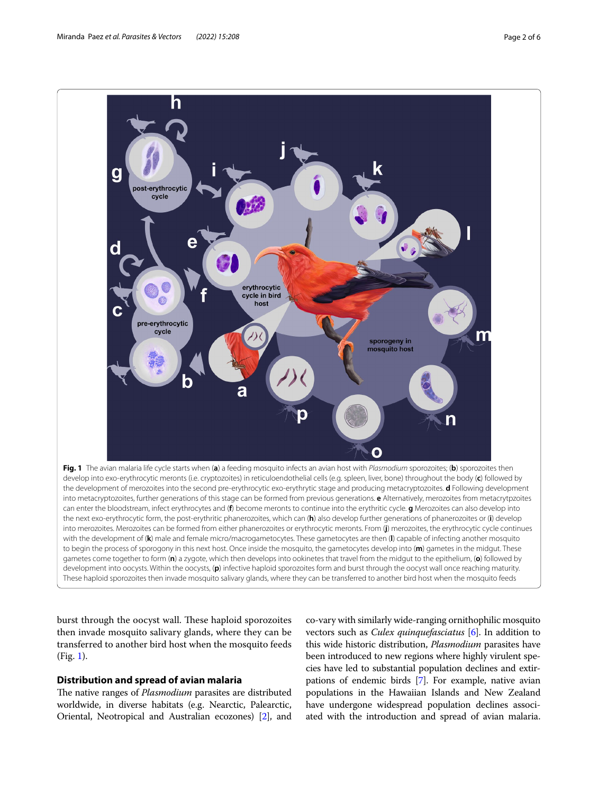

<span id="page-1-0"></span>burst through the oocyst wall. These haploid sporozoites then invade mosquito salivary glands, where they can be transferred to another bird host when the mosquito feeds (Fig. [1\)](#page-1-0).

## **Distribution and spread of avian malaria**

The native ranges of *Plasmodium* parasites are distributed worldwide, in diverse habitats (e.g. Nearctic, Palearctic, Oriental, Neotropical and Australian ecozones) [\[2\]](#page-5-1), and co-vary with similarly wide-ranging ornithophilic mosquito vectors such as *Culex quinquefasciatus* [\[6\]](#page-5-5). In addition to this wide historic distribution, *Plasmodium* parasites have been introduced to new regions where highly virulent species have led to substantial population declines and extirpations of endemic birds [[7\]](#page-5-6). For example, native avian populations in the Hawaiian Islands and New Zealand have undergone widespread population declines associated with the introduction and spread of avian malaria.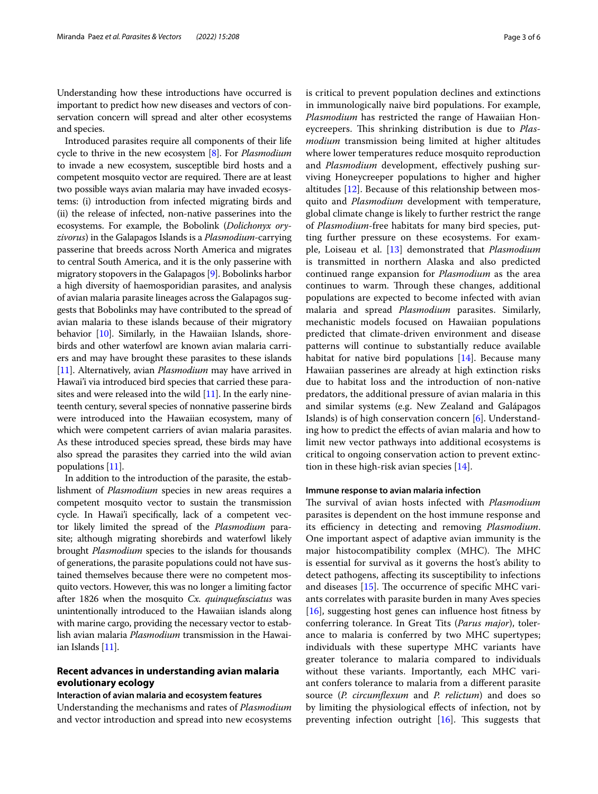Understanding how these introductions have occurred is important to predict how new diseases and vectors of conservation concern will spread and alter other ecosystems and species.

Introduced parasites require all components of their life cycle to thrive in the new ecosystem [[8\]](#page-5-7). For *Plasmodium* to invade a new ecosystem, susceptible bird hosts and a competent mosquito vector are required. There are at least two possible ways avian malaria may have invaded ecosystems: (i) introduction from infected migrating birds and (ii) the release of infected, non-native passerines into the ecosystems. For example, the Bobolink (*Dolichonyx oryzivorus*) in the Galapagos Islands is a *Plasmodium*-carrying passerine that breeds across North America and migrates to central South America, and it is the only passerine with migratory stopovers in the Galapagos [\[9](#page-5-8)]. Bobolinks harbor a high diversity of haemosporidian parasites, and analysis of avian malaria parasite lineages across the Galapagos suggests that Bobolinks may have contributed to the spread of avian malaria to these islands because of their migratory behavior [[10](#page-5-9)]. Similarly, in the Hawaiian Islands, shorebirds and other waterfowl are known avian malaria carriers and may have brought these parasites to these islands [[11](#page-5-10)]. Alternatively, avian *Plasmodium* may have arrived in Hawai'i via introduced bird species that carried these parasites and were released into the wild [\[11\]](#page-5-10). In the early nineteenth century, several species of nonnative passerine birds were introduced into the Hawaiian ecosystem, many of which were competent carriers of avian malaria parasites. As these introduced species spread, these birds may have also spread the parasites they carried into the wild avian populations [[11](#page-5-10)].

In addition to the introduction of the parasite, the establishment of *Plasmodium* species in new areas requires a competent mosquito vector to sustain the transmission cycle. In Hawai'i specifcally, lack of a competent vector likely limited the spread of the *Plasmodium* parasite; although migrating shorebirds and waterfowl likely brought *Plasmodium* species to the islands for thousands of generations, the parasite populations could not have sustained themselves because there were no competent mosquito vectors. However, this was no longer a limiting factor after 1826 when the mosquito *Cx. quinquefasciatus* was unintentionally introduced to the Hawaiian islands along with marine cargo, providing the necessary vector to establish avian malaria *Plasmodium* transmission in the Hawaiian Islands [\[11\]](#page-5-10).

# **Recent advances in understanding avian malaria evolutionary ecology**

#### **Interaction of avian malaria and ecosystem features**

Understanding the mechanisms and rates of *Plasmodium* and vector introduction and spread into new ecosystems is critical to prevent population declines and extinctions in immunologically naive bird populations. For example, *Plasmodium* has restricted the range of Hawaiian Honeycreepers. This shrinking distribution is due to *Plasmodium* transmission being limited at higher altitudes where lower temperatures reduce mosquito reproduction and *Plasmodium* development, efectively pushing surviving Honeycreeper populations to higher and higher altitudes [[12\]](#page-5-11). Because of this relationship between mosquito and *Plasmodium* development with temperature, global climate change is likely to further restrict the range of *Plasmodium*-free habitats for many bird species, putting further pressure on these ecosystems. For example, Loiseau et al. [\[13\]](#page-5-12) demonstrated that *Plasmodium* is transmitted in northern Alaska and also predicted continued range expansion for *Plasmodium* as the area continues to warm. Through these changes, additional populations are expected to become infected with avian malaria and spread *Plasmodium* parasites. Similarly, mechanistic models focused on Hawaiian populations predicted that climate-driven environment and disease patterns will continue to substantially reduce available habitat for native bird populations [\[14\]](#page-5-13). Because many Hawaiian passerines are already at high extinction risks due to habitat loss and the introduction of non-native predators, the additional pressure of avian malaria in this and similar systems (e.g. New Zealand and Galápagos Islands) is of high conservation concern [[6\]](#page-5-5). Understanding how to predict the efects of avian malaria and how to limit new vector pathways into additional ecosystems is critical to ongoing conservation action to prevent extinction in these high-risk avian species [\[14](#page-5-13)].

#### **Immune response to avian malaria infection**

The survival of avian hosts infected with *Plasmodium* parasites is dependent on the host immune response and its efficiency in detecting and removing *Plasmodium*. One important aspect of adaptive avian immunity is the major histocompatibility complex (MHC). The MHC is essential for survival as it governs the host's ability to detect pathogens, afecting its susceptibility to infections and diseases  $[15]$  $[15]$ . The occurrence of specific MHC variants correlates with parasite burden in many Aves species [[16\]](#page-5-15), suggesting host genes can influence host fitness by conferring tolerance. In Great Tits (*Parus major*), tolerance to malaria is conferred by two MHC supertypes; individuals with these supertype MHC variants have greater tolerance to malaria compared to individuals without these variants. Importantly, each MHC variant confers tolerance to malaria from a diferent parasite source (*P. circumfexum* and *P. relictum*) and does so by limiting the physiological efects of infection, not by preventing infection outright  $[16]$  $[16]$ . This suggests that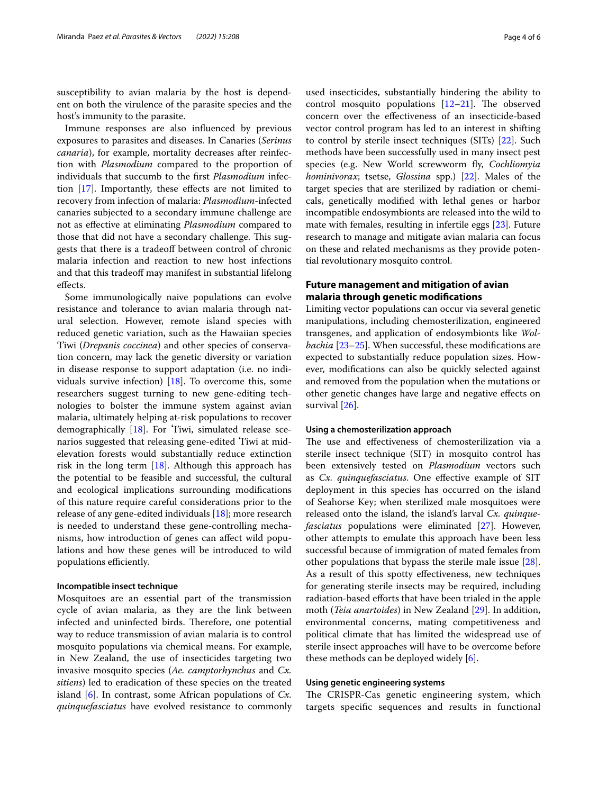susceptibility to avian malaria by the host is dependent on both the virulence of the parasite species and the host's immunity to the parasite.

Immune responses are also infuenced by previous exposures to parasites and diseases. In Canaries (*Serinus canaria*), for example, mortality decreases after reinfection with *Plasmodium* compared to the proportion of individuals that succumb to the frst *Plasmodium* infection  $[17]$  $[17]$ . Importantly, these effects are not limited to recovery from infection of malaria: *Plasmodium*-infected canaries subjected to a secondary immune challenge are not as efective at eliminating *Plasmodium* compared to those that did not have a secondary challenge. This suggests that there is a tradeof between control of chronic malaria infection and reaction to new host infections and that this tradeoff may manifest in substantial lifelong efects.

Some immunologically naive populations can evolve resistance and tolerance to avian malaria through natural selection. However, remote island species with reduced genetic variation, such as the Hawaiian species 'I'iwi (*Drepanis coccinea*) and other species of conservation concern, may lack the genetic diversity or variation in disease response to support adaptation (i.e. no individuals survive infection) [[18](#page-5-17)]. To overcome this, some researchers suggest turning to new gene-editing technologies to bolster the immune system against avian malaria, ultimately helping at-risk populations to recover demographically [\[18](#page-5-17)]. For ʻI'iwi, simulated release scenarios suggested that releasing gene-edited ʻI'iwi at midelevation forests would substantially reduce extinction risk in the long term  $[18]$  $[18]$ . Although this approach has the potential to be feasible and successful, the cultural and ecological implications surrounding modifcations of this nature require careful considerations prior to the release of any gene-edited individuals [[18\]](#page-5-17); more research is needed to understand these gene-controlling mechanisms, how introduction of genes can afect wild populations and how these genes will be introduced to wild populations efficiently.

#### **Incompatible insect technique**

Mosquitoes are an essential part of the transmission cycle of avian malaria, as they are the link between infected and uninfected birds. Therefore, one potential way to reduce transmission of avian malaria is to control mosquito populations via chemical means. For example, in New Zealand, the use of insecticides targeting two invasive mosquito species (*Ae. camptorhynchus* and *Cx. sitiens*) led to eradication of these species on the treated island [[6\]](#page-5-5). In contrast, some African populations of *Cx. quinquefasciatus* have evolved resistance to commonly used insecticides, substantially hindering the ability to control mosquito populations  $[12-21]$  $[12-21]$  $[12-21]$ . The observed concern over the efectiveness of an insecticide-based vector control program has led to an interest in shifting to control by sterile insect techniques (SITs) [\[22](#page-5-19)]. Such methods have been successfully used in many insect pest species (e.g. New World screwworm fy, *Cochliomyia hominivorax*; tsetse, *Glossina* spp.) [\[22](#page-5-19)]. Males of the target species that are sterilized by radiation or chemicals, genetically modifed with lethal genes or harbor incompatible endosymbionts are released into the wild to mate with females, resulting in infertile eggs [[23](#page-5-20)]. Future research to manage and mitigate avian malaria can focus on these and related mechanisms as they provide potential revolutionary mosquito control.

# **Future management and mitigation of avian malaria through genetic modifcations**

Limiting vector populations can occur via several genetic manipulations, including chemosterilization, engineered transgenes, and application of endosymbionts like *Wolbachia* [[23–](#page-5-20)[25](#page-5-21)]. When successful, these modifcations are expected to substantially reduce population sizes. However, modifcations can also be quickly selected against and removed from the population when the mutations or other genetic changes have large and negative efects on survival [\[26](#page-5-22)].

#### **Using a chemosterilization approach**

The use and effectiveness of chemosterilization via a sterile insect technique (SIT) in mosquito control has been extensively tested on *Plasmodium* vectors such as *Cx. quinquefasciatus*. One efective example of SIT deployment in this species has occurred on the island of Seahorse Key; when sterilized male mosquitoes were released onto the island, the island's larval *Cx. quinquefasciatus* populations were eliminated [[27\]](#page-5-23). However, other attempts to emulate this approach have been less successful because of immigration of mated females from other populations that bypass the sterile male issue [\[28](#page-5-24)]. As a result of this spotty efectiveness, new techniques for generating sterile insects may be required, including radiation-based eforts that have been trialed in the apple moth (*Teia anartoides*) in New Zealand [\[29\]](#page-5-25). In addition, environmental concerns, mating competitiveness and political climate that has limited the widespread use of sterile insect approaches will have to be overcome before these methods can be deployed widely [[6](#page-5-5)].

#### **Using genetic engineering systems**

The CRISPR-Cas genetic engineering system, which targets specifc sequences and results in functional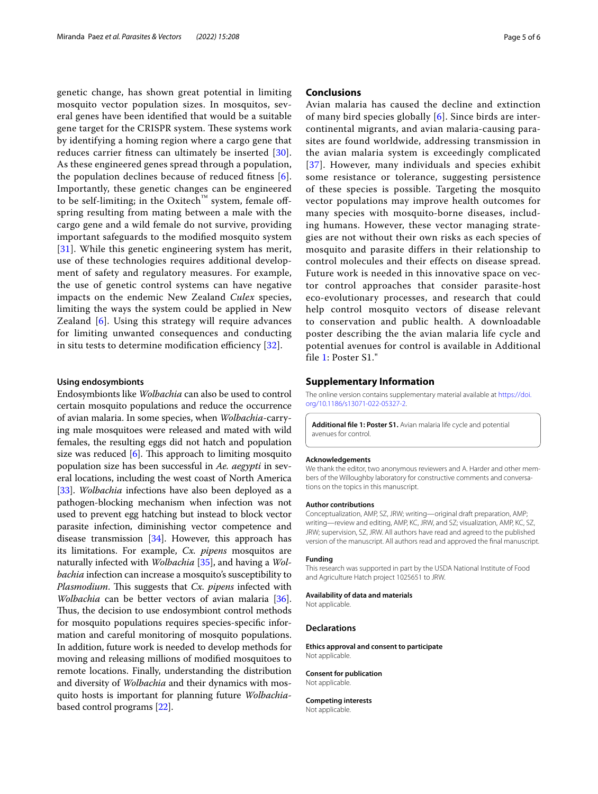genetic change, has shown great potential in limiting mosquito vector population sizes. In mosquitos, several genes have been identifed that would be a suitable gene target for the CRISPR system. These systems work by identifying a homing region where a cargo gene that reduces carrier ftness can ultimately be inserted [[30\]](#page-5-26). As these engineered genes spread through a population, the population declines because of reduced ftness [[6\]](#page-5-5). Importantly, these genetic changes can be engineered to be self-limiting; in the Oxitech™ system, female offspring resulting from mating between a male with the cargo gene and a wild female do not survive, providing important safeguards to the modifed mosquito system [[31](#page-5-27)]. While this genetic engineering system has merit, use of these technologies requires additional development of safety and regulatory measures. For example, the use of genetic control systems can have negative impacts on the endemic New Zealand *Culex* species, limiting the ways the system could be applied in New Zealand [\[6](#page-5-5)]. Using this strategy will require advances for limiting unwanted consequences and conducting in situ tests to determine modification efficiency  $[32]$  $[32]$ .

#### **Using endosymbionts**

Endosymbionts like *Wolbachia* can also be used to control certain mosquito populations and reduce the occurrence of avian malaria. In some species, when *Wolbachia*-carrying male mosquitoes were released and mated with wild females, the resulting eggs did not hatch and population size was reduced  $[6]$ . This approach to limiting mosquito population size has been successful in *Ae. aegypti* in several locations, including the west coast of North America [[33\]](#page-5-29). *Wolbachia* infections have also been deployed as a pathogen-blocking mechanism when infection was not used to prevent egg hatching but instead to block vector parasite infection, diminishing vector competence and disease transmission [[34](#page-5-30)]. However, this approach has its limitations. For example, *Cx. pipens* mosquitos are naturally infected with *Wolbachia* [[35](#page-5-31)], and having a *Wolbachia* infection can increase a mosquito's susceptibility to *Plasmodium.* This suggests that *Cx. pipens* infected with *Wolbachia* can be better vectors of avian malaria [\[36](#page-5-32)]. Thus, the decision to use endosymbiont control methods for mosquito populations requires species-specifc information and careful monitoring of mosquito populations. In addition, future work is needed to develop methods for moving and releasing millions of modifed mosquitoes to remote locations. Finally, understanding the distribution and diversity of *Wolbachia* and their dynamics with mosquito hosts is important for planning future *Wolbachia*based control programs [[22](#page-5-19)].

### **Conclusions**

Avian malaria has caused the decline and extinction of many bird species globally [[6](#page-5-5)]. Since birds are intercontinental migrants, and avian malaria-causing parasites are found worldwide, addressing transmission in the avian malaria system is exceedingly complicated [[37](#page-5-33)]. However, many individuals and species exhibit some resistance or tolerance, suggesting persistence of these species is possible. Targeting the mosquito vector populations may improve health outcomes for many species with mosquito-borne diseases, including humans. However, these vector managing strategies are not without their own risks as each species of mosquito and parasite differs in their relationship to control molecules and their effects on disease spread. Future work is needed in this innovative space on vector control approaches that consider parasite-host eco-evolutionary processes, and research that could help control mosquito vectors of disease relevant to conservation and public health. A downloadable poster describing the the avian malaria life cycle and potential avenues for control is available in Additional file [1:](#page-4-0) Poster S1."

# **Supplementary Information**

The online version contains supplementary material available at [https://doi.](https://doi.org/10.1186/s13071-022-05327-2) [org/10.1186/s13071-022-05327-2](https://doi.org/10.1186/s13071-022-05327-2).

<span id="page-4-0"></span>**Additional fle 1: Poster S1.** Avian malaria life cycle and potential avenues for control.

#### **Acknowledgements**

We thank the editor, two anonymous reviewers and A. Harder and other members of the Willoughby laboratory for constructive comments and conversations on the topics in this manuscript.

#### **Author contributions**

Conceptualization, AMP, SZ, JRW; writing—original draft preparation, AMP; writing—review and editing, AMP, KC, JRW, and SZ; visualization, AMP, KC, SZ, JRW; supervision, SZ, JRW. All authors have read and agreed to the published version of the manuscript. All authors read and approved the fnal manuscript.

#### **Funding**

This research was supported in part by the USDA National Institute of Food and Agriculture Hatch project 1025651 to JRW.

#### **Availability of data and materials**

Not applicable.

#### **Declarations**

**Ethics approval and consent to participate** Not applicable.

#### **Consent for publication**

Not applicable.

**Competing interests** Not applicable.